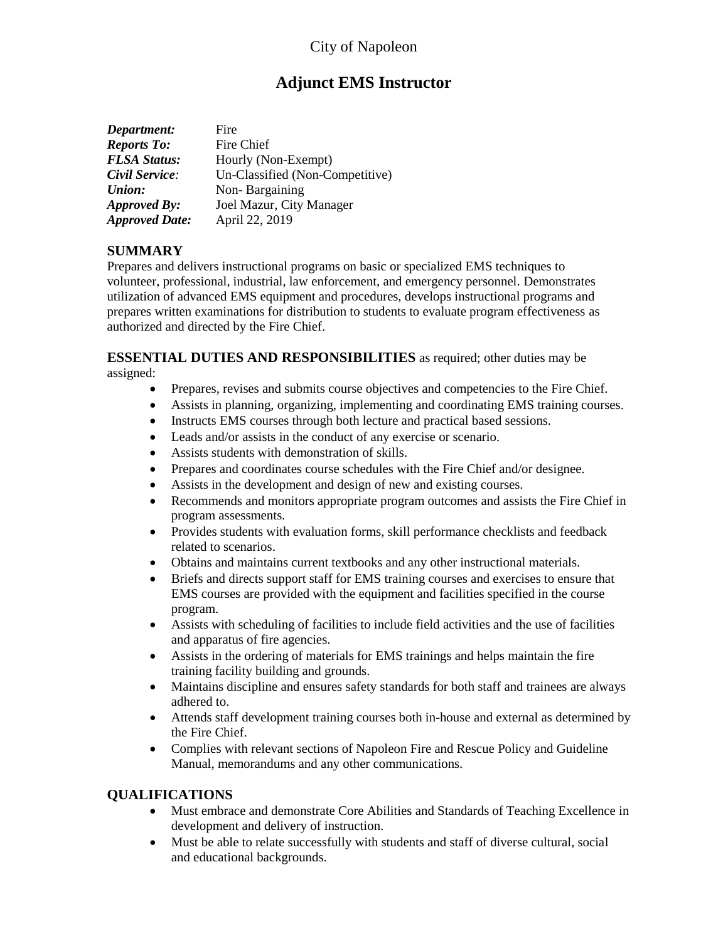# City of Napoleon

# **Adjunct EMS Instructor**

| Department:           | Fire                            |
|-----------------------|---------------------------------|
| <b>Reports To:</b>    | Fire Chief                      |
| <b>FLSA Status:</b>   | Hourly (Non-Exempt)             |
| Civil Service:        | Un-Classified (Non-Competitive) |
| <b>Union:</b>         | Non-Bargaining                  |
| Approved By:          | Joel Mazur, City Manager        |
| <b>Approved Date:</b> | April 22, 2019                  |

### **SUMMARY**

Prepares and delivers instructional programs on basic or specialized EMS techniques to volunteer, professional, industrial, law enforcement, and emergency personnel. Demonstrates utilization of advanced EMS equipment and procedures, develops instructional programs and prepares written examinations for distribution to students to evaluate program effectiveness as authorized and directed by the Fire Chief.

#### **ESSENTIAL DUTIES AND RESPONSIBILITIES** as required; other duties may be assigned:

- Prepares, revises and submits course objectives and competencies to the Fire Chief.
- Assists in planning, organizing, implementing and coordinating EMS training courses.
- Instructs EMS courses through both lecture and practical based sessions.
- Leads and/or assists in the conduct of any exercise or scenario.
- Assists students with demonstration of skills.
- Prepares and coordinates course schedules with the Fire Chief and/or designee.
- Assists in the development and design of new and existing courses.
- Recommends and monitors appropriate program outcomes and assists the Fire Chief in program assessments.
- Provides students with evaluation forms, skill performance checklists and feedback related to scenarios.
- Obtains and maintains current textbooks and any other instructional materials.
- Briefs and directs support staff for EMS training courses and exercises to ensure that EMS courses are provided with the equipment and facilities specified in the course program.
- Assists with scheduling of facilities to include field activities and the use of facilities and apparatus of fire agencies.
- Assists in the ordering of materials for EMS trainings and helps maintain the fire training facility building and grounds.
- Maintains discipline and ensures safety standards for both staff and trainees are always adhered to.
- Attends staff development training courses both in-house and external as determined by the Fire Chief.
- Complies with relevant sections of Napoleon Fire and Rescue Policy and Guideline Manual, memorandums and any other communications.

### **QUALIFICATIONS**

- Must embrace and demonstrate Core Abilities and Standards of Teaching Excellence in development and delivery of instruction.
- Must be able to relate successfully with students and staff of diverse cultural, social and educational backgrounds.